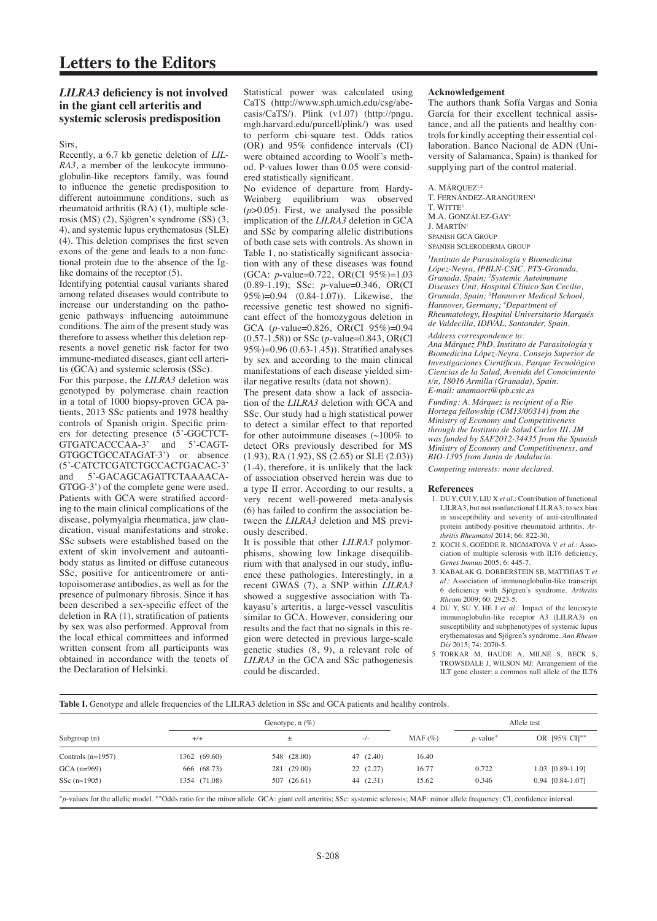# **Letters to the Editors**

# *LILRA3* **deficiency is not involved in the giant cell arteritis and systemic sclerosis predisposition**

Sirs,

Recently, a 6.7 kb genetic deletion of *LIL-RA3*, a member of the leukocyte immunoglobulin-like receptors family, was found to influence the genetic predisposition to different autoimmune conditions, such as rheumatoid arthritis (RA) (1), multiple sclerosis (MS) (2), Sjögren's syndrome (SS) (3, 4), and systemic lupus erythematosus (SLE) (4). This deletion comprises the first seven exons of the gene and leads to a non-functional protein due to the absence of the Iglike domains of the receptor (5).

Identifying potential causal variants shared among related diseases would contribute to increase our understanding on the pathogenic pathways influencing autoimmune conditions. The aim of the present study was therefore to assess whether this deletion represents a novel genetic risk factor for two immune-mediated diseases, giant cell arteritis (GCA) and systemic sclerosis (SSc).

For this purpose, the *LILRA3* deletion was genotyped by polymerase chain reaction in a total of 1000 biopsy-proven GCA patients, 2013 SSc patients and 1978 healthy controls of Spanish origin. Specific primers for detecting presence (5'-GGCTCT-GTGATCACCCAA-3' and 5'-CAGT-GTGGCTGCCATAGAT-3') or absence (5'-CATCTCGATCTGCCACTGACAC-3' and 5'-GACAGCAGATTCTAAAACA-GTGG-3') of the complete gene were used. Patients with GCA were stratified according to the main clinical complications of the disease, polymyalgia rheumatica, jaw claudication, visual manifestations and stroke. SSc subsets were established based on the extent of skin involvement and autoantibody status as limited or diffuse cutaneous SSc, positive for anticentromere or antitopoisomerase antibodies, as well as for the presence of pulmonary fibrosis. Since it has been described a sex-specific effect of the deletion in RA (1), stratification of patients by sex was also performed. Approval from the local ethical committees and informed written consent from all participants was obtained in accordance with the tenets of the Declaration of Helsinki.

Statistical power was calculated using CaTS (http://www.sph.umich.edu/csg/abecasis/CaTS/). Plink (v1.07) (http://pngu. mgh.harvard.edu/purcell/plink/) was used to perform chi-square test. Odds ratios (OR) and 95% confidence intervals (CI) were obtained according to Woolf's method. P-values lower than 0.05 were considered statistically significant.

No evidence of departure from Hardy-Weinberg equilibrium was observed (*p*>0.05). First, we analysed the possible implication of the *LILRA3* deletion in GCA and SSc by comparing allelic distributions of both case sets with controls. As shown in Table 1, no statistically significant association with any of these diseases was found (GCA: *p*-value=0.722, OR(CI 95%)=1.03 (0.89-1.19); SSc: *p*-value=0.346, OR(CI 95%)=0.94 (0.84-1.07)). Likewise, the recessive genetic test showed no significant effect of the homozygous deletion in GCA (*p*-value=0.826, OR(CI 95%)=0.94 (0.57-1.58)) or SSc (*p*-value=0.843, OR(CI 95%)=0.96 (0.63-1.45)). Stratified analyses by sex and according to the main clinical manifestations of each disease yielded similar negative results (data not shown).

The present data show a lack of association of the *LILRA3* deletion with GCA and SSc. Our study had a high statistical power to detect a similar effect to that reported for other autoimmune diseases  $($ ~100% to detect ORs previously described for MS (1.93), RA (1.92), SS (2.65) or SLE (2.03)) (1-4), therefore, it is unlikely that the lack of association observed herein was due to a type II error. According to our results, a very recent well-powered meta-analysis (6) has failed to confirm the association between the *LILRA3* deletion and MS previously described.

It is possible that other *LILRA3* polymorphisms, showing low linkage disequilibrium with that analysed in our study, influence these pathologies. Interestingly, in a recent GWAS (7), a SNP within *LILRA3* showed a suggestive association with Takayasu's arteritis, a large-vessel vasculitis similar to GCA. However, considering our results and the fact that no signals in this region were detected in previous large-scale genetic studies (8, 9), a relevant role of *LILRA3* in the GCA and SSc pathogenesis could be discarded.

## **Acknowledgement**

The authors thank Sofía Vargas and Sonia García for their excellent technical assistance, and all the patients and healthy controls for kindly accepting their essential collaboration. Banco Nacional de ADN (University of Salamanca, Spain) is thanked for supplying part of the control material.

A. MÁROUEZ<sup>1,2</sup> T. FERNÁNDEZ-ARANGUREN1 T. WITTE3 M.A. GONZÁLEZ-GAY4 J. MARTÍN1 Spanish GCA Group Spanish Scleroderma Group

*1 Instituto de Parasitología y Biomedicina López-Neyra, IPBLN-CSIC, PTS-Granada, Granada, Spain; 2 Systemic Autoimmune Diseases Unit, Hospital Clínico San Cecilio, Granada, Spain; 3 Hannover Medical School, Hannover, Germany; 4 Department of Rheumatology, Hospital Universitario Marqués de Valdecilla, IDIVAL, Santander, Spain.*

*Address correspondence to: Ana Márquez PhD, Instituto de Parasitología y Biomedicina López-Neyra. Consejo Superior de Investigaciones Científicas, Parque Tecnológico Ciencias de la Salud, Avenida del Conocimiento s/n, 18016 Armilla (Granada), Spain. E-mail: anamaort@ipb.csic.es*

*Funding: A. Márquez is recipient of a Rio Hortega fellowship (CM13/00314) from the Ministry of Economy and Competitiveness through the Instituto de Salud Carlos III. JM was funded by SAF2012-34435 from the Spanish Ministry of Economy and Competitiveness, and BIO-1395 from Junta de Andalucía.* 

*Competing interests: none declared.*

#### **References**

- 1. DU Y, CUI Y, LIU X *et al.*: Contribution of functional LILRA3, but not nonfunctional LILRA3, to sex bias in susceptibility and severity of anti-citrullinated protein antibody-positive rheumatoid arthritis. *Arthritis Rheumatol* 2014; 66: 822-30.
- 2. KOCH S, GOEDDE R, NIGMATOVA V *et al.*: Association of multiple sclerosis with ILT6 deficiency. *Genes Immun* 2005; 6: 445-7.
- 3. KABALAK G, DOBBERSTEIN SB, MATTHIAS T *et al.*: Association of immunoglobulin-like transcript 6 deficiency with Sjögren's syndrome. *Arthritis Rheum* 2009; 60: 2923-5.
- 4. DU Y, SU Y, HE J *et al.*: Impact of the leucocyte immunoglobulin-like receptor A3 (LILRA3) on susceptibility and subphenotypes of systemic lupus erythematosus and Sjögren's syndrome. *Ann Rheum Dis* 2015; 74: 2070-5.
- 5. TORKAR M, HAUDE A, MILNE S, BECK S, TROWSDALE J, WILSON MJ: Arrangement of the ILT gene cluster: a common null allele of the ILT6

Table I. Genotype and allele frequencies of the LILRA3 deletion in SSc and GCA patients and healthy controls.

| Subgroup $(n)$      | Genotype, $n$ (%) |             |           |           | Allele test             |                  |
|---------------------|-------------------|-------------|-----------|-----------|-------------------------|------------------|
|                     | $+/-$             |             | $-/-$     | $MAF(\%)$ | $p$ -value <sup>*</sup> | OR [95% CI]**    |
| Controls $(n=1957)$ | 1362 (69.60)      | 548 (28.00) | 47 (2.40) | 16.40     |                         |                  |
| $GCA(n=969)$        | 666 (68.73)       | 281 (29.00) | 22(2.27)  | 16.77     | 0.722                   | 1.03 [0.89-1.19] |
| SSc $(n=1905)$      | 1354 (71.08)      | 507 (26.61) | 44 (2.31) | 15.62     | 0.346                   | 0.94 [0.84-1.07] |